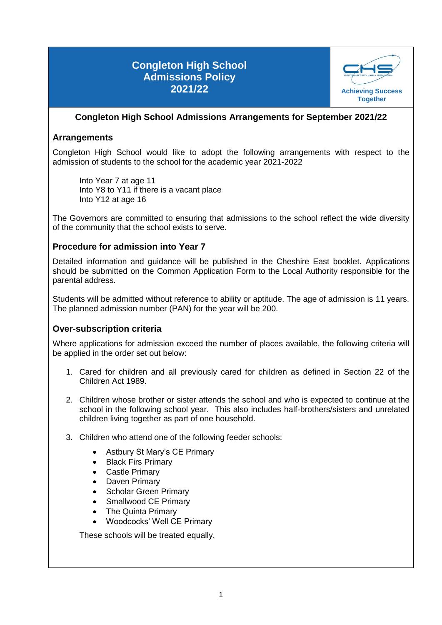# **Congleton High School Admissions Policy 2021/22 Achieving Success Achieving Success**



## **Congleton High School Admissions Arrangements for September 2021/22**

### **Arrangements**

Congleton High School would like to adopt the following arrangements with respect to the admission of students to the school for the academic year 2021-2022

Into Year 7 at age 11 Into Y8 to Y11 if there is a vacant place Into Y12 at age 16

The Governors are committed to ensuring that admissions to the school reflect the wide diversity of the community that the school exists to serve.

### **Procedure for admission into Year 7**

Detailed information and guidance will be published in the Cheshire East booklet. Applications should be submitted on the Common Application Form to the Local Authority responsible for the parental address.

Students will be admitted without reference to ability or aptitude. The age of admission is 11 years. The planned admission number (PAN) for the year will be 200.

### **Over-subscription criteria**

Where applications for admission exceed the number of places available, the following criteria will be applied in the order set out below:

- 1. Cared for children and all previously cared for children as defined in Section 22 of the Children Act 1989.
- 2. Children whose brother or sister attends the school and who is expected to continue at the school in the following school year. This also includes half-brothers/sisters and unrelated children living together as part of one household.
- 3. Children who attend one of the following feeder schools:
	- Astbury St Mary's CE Primary
	- Black Firs Primary
	- Castle Primary
	- Daven Primary
	- Scholar Green Primary
	- Smallwood CE Primary
	- The Quinta Primary
	- Woodcocks' Well CE Primary

These schools will be treated equally.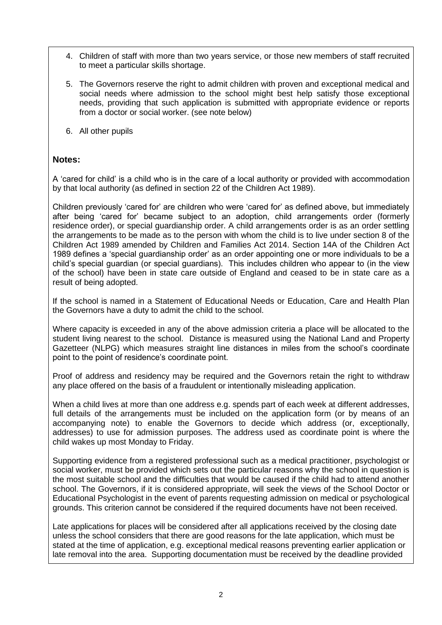- 4. Children of staff with more than two years service, or those new members of staff recruited to meet a particular skills shortage.
- 5. The Governors reserve the right to admit children with proven and exceptional medical and social needs where admission to the school might best help satisfy those exceptional needs, providing that such application is submitted with appropriate evidence or reports from a doctor or social worker. (see note below)
- 6. All other pupils

### **Notes:**

A 'cared for child' is a child who is in the care of a local authority or provided with accommodation by that local authority (as defined in section 22 of the Children Act 1989).

Children previously 'cared for' are children who were 'cared for' as defined above, but immediately after being 'cared for' became subject to an adoption, child arrangements order (formerly residence order), or special guardianship order. A child arrangements order is as an order settling the arrangements to be made as to the person with whom the child is to live under section 8 of the Children Act 1989 amended by Children and Families Act 2014. Section 14A of the Children Act 1989 defines a 'special guardianship order' as an order appointing one or more individuals to be a child's special guardian (or special guardians). This includes children who appear to (in the view of the school) have been in state care outside of England and ceased to be in state care as a result of being adopted.

If the school is named in a Statement of Educational Needs or Education, Care and Health Plan the Governors have a duty to admit the child to the school.

Where capacity is exceeded in any of the above admission criteria a place will be allocated to the student living nearest to the school. Distance is measured using the National Land and Property Gazetteer (NLPG) which measures straight line distances in miles from the school's coordinate point to the point of residence's coordinate point.

Proof of address and residency may be required and the Governors retain the right to withdraw any place offered on the basis of a fraudulent or intentionally misleading application.

When a child lives at more than one address e.g. spends part of each week at different addresses, full details of the arrangements must be included on the application form (or by means of an accompanying note) to enable the Governors to decide which address (or, exceptionally, addresses) to use for admission purposes. The address used as coordinate point is where the child wakes up most Monday to Friday.

Supporting evidence from a registered professional such as a medical practitioner, psychologist or social worker, must be provided which sets out the particular reasons why the school in question is the most suitable school and the difficulties that would be caused if the child had to attend another school. The Governors, if it is considered appropriate, will seek the views of the School Doctor or Educational Psychologist in the event of parents requesting admission on medical or psychological grounds. This criterion cannot be considered if the required documents have not been received.

Late applications for places will be considered after all applications received by the closing date unless the school considers that there are good reasons for the late application, which must be stated at the time of application, e.g. exceptional medical reasons preventing earlier application or late removal into the area. Supporting documentation must be received by the deadline provided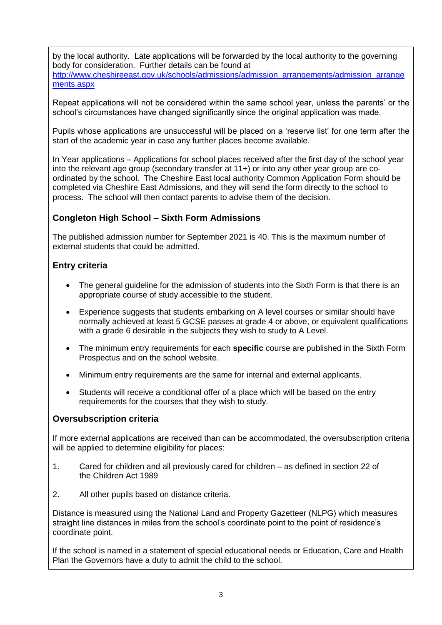by the local authority. Late applications will be forwarded by the local authority to the governing body for consideration. Further details can be found at [http://www.cheshireeast.gov.uk/schools/admissions/admission\\_arrangements/admission\\_arrange](http://www.cheshireeast.gov.uk/schools/admissions/admission_arrangements/admission_arrangements.aspx) [ments.aspx](http://www.cheshireeast.gov.uk/schools/admissions/admission_arrangements/admission_arrangements.aspx)

Repeat applications will not be considered within the same school year, unless the parents' or the school's circumstances have changed significantly since the original application was made.

Pupils whose applications are unsuccessful will be placed on a 'reserve list' for one term after the start of the academic year in case any further places become available.

In Year applications *–* Applications for school places received after the first day of the school year into the relevant age group (secondary transfer at 11+) or into any other year group are coordinated by the school. The Cheshire East local authority Common Application Form should be completed via Cheshire East Admissions, and they will send the form directly to the school to process. The school will then contact parents to advise them of the decision.

## **Congleton High School – Sixth Form Admissions**

The published admission number for September 2021 is 40. This is the maximum number of external students that could be admitted.

### **Entry criteria**

- The general guideline for the admission of students into the Sixth Form is that there is an appropriate course of study accessible to the student.
- Experience suggests that students embarking on A level courses or similar should have normally achieved at least 5 GCSE passes at grade 4 or above, or equivalent qualifications with a grade 6 desirable in the subjects they wish to study to A Level.
- The minimum entry requirements for each **specific** course are published in the Sixth Form Prospectus and on the school website.
- Minimum entry requirements are the same for internal and external applicants.
- Students will receive a conditional offer of a place which will be based on the entry requirements for the courses that they wish to study.

### **Oversubscription criteria**

If more external applications are received than can be accommodated, the oversubscription criteria will be applied to determine eligibility for places:

- 1. Cared for children and all previously cared for children as defined in section 22 of the Children Act 1989
- 2. All other pupils based on distance criteria.

Distance is measured using the National Land and Property Gazetteer (NLPG) which measures straight line distances in miles from the school's coordinate point to the point of residence's coordinate point.

If the school is named in a statement of special educational needs or Education, Care and Health Plan the Governors have a duty to admit the child to the school.